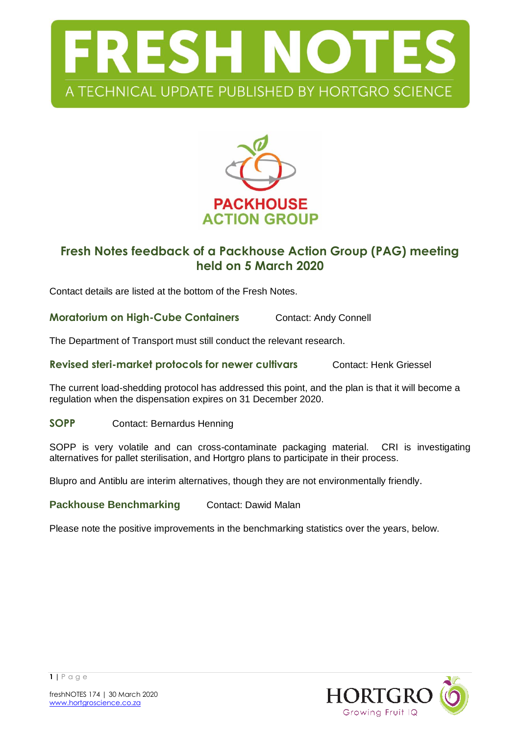



## **Fresh Notes feedback of a Packhouse Action Group (PAG) meeting held on 5 March 2020**

Contact details are listed at the bottom of the Fresh Notes.

**Moratorium on High-Cube Containers** Contact: Andy Connell

The Department of Transport must still conduct the relevant research.

**Revised steri-market protocols for newer cultivars Contact: Henk Griessel** 

The current load-shedding protocol has addressed this point, and the plan is that it will become a regulation when the dispensation expires on 31 December 2020.

**SOPP** Contact: Bernardus Henning

SOPP is very volatile and can cross-contaminate packaging material. CRI is investigating alternatives for pallet sterilisation, and Hortgro plans to participate in their process.

Blupro and Antiblu are interim alternatives, though they are not environmentally friendly.

**Packhouse Benchmarking Contact: Dawid Malan** 

Please note the positive improvements in the benchmarking statistics over the years, below.

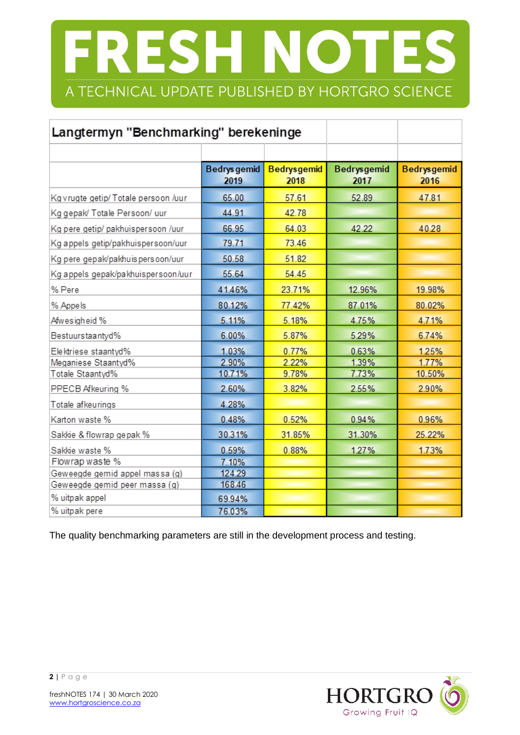# FRESH NOTES A TECHNICAL UPDATE PUBLISHED BY HORTGRO SCIENCE

| Langtermyn "Benchmarking" berekeninge |                             |                            |                            |                            |
|---------------------------------------|-----------------------------|----------------------------|----------------------------|----------------------------|
|                                       |                             |                            |                            |                            |
|                                       | <b>Bedrys</b> gemid<br>2019 | <b>Bedrysgemid</b><br>2018 | <b>Bedrysgemid</b><br>2017 | <b>Bedrysgemid</b><br>2016 |
| Kg vrugte getip/ Totale persoon /uur  | 65.00                       | 57.61                      | 52.89                      | 47.81                      |
| Kg gepak/ Totale Persoon/ uur         | 44.91                       | 42.78                      |                            |                            |
| Kg pere getip/ pakhuispersoon /uur    | 66.95                       | 64.03                      | 42.22                      | 40.28                      |
| Kg appels getip/pakhuispersoon/uur    | 79.71                       | 73.46                      |                            |                            |
| Kg pere gepak/pakhuis persoon/uur     | 50.58                       | 51.82                      |                            |                            |
| Kg appels gepak/pakhuispersoon/uur    | 55.64                       | 54.45                      |                            |                            |
| % Pere                                | 41.46%                      | 23.71%                     | 12.96%                     | 19.98%                     |
| % Appels                              | 80.12%                      | 77.42%                     | 87.01%                     | 80.02%                     |
| Afwesigheid %                         | 5.11%                       | 5.18%                      | 4.75%                      | 4.71%                      |
| Bestuurstaantyd%                      | 6.00%                       | 5.87%                      | 5.29%                      | 6.74%                      |
| Elektriese staantyd%                  | 1.03%                       | 0.77%                      | 0.63%                      | 1.25%                      |
| Meganiese Staantyd%                   | 2.90%                       | 2.22%                      | 1.39%                      | 1.77%                      |
| Totale Staantyd%                      | 10.71%                      | 9.78%                      | 7.73%                      | 10.50%                     |
| PPECB Afkeuring %                     | 2.60%                       | 3.82%                      | 2.55%                      | 2.90%                      |
| Totale afkeurings                     | 4.28%                       |                            |                            |                            |
| Karton waste %                        | 0.48%                       | 0.52%                      | 0.94%                      | 0.96%                      |
| Sakkie & flowrap gepak %              | 30.31%                      | 31.85%                     | 31.30%                     | 25.22%                     |
| Sakkie waste %                        | 0.59%                       | 0.88%                      | 1.27%                      | 1.73%                      |
| Flowrap waste %                       | 7.10%                       |                            |                            |                            |
| Geweegde gemid appel massa (g)        | 124.29                      |                            |                            |                            |
| Geweegde gemid peer massa (g)         | 168.46                      |                            |                            |                            |
| % uitpak appel                        | 69.94%                      |                            |                            |                            |
| % uitpak pere                         | 76.03%                      |                            |                            |                            |

The quality benchmarking parameters are still in the development process and testing.

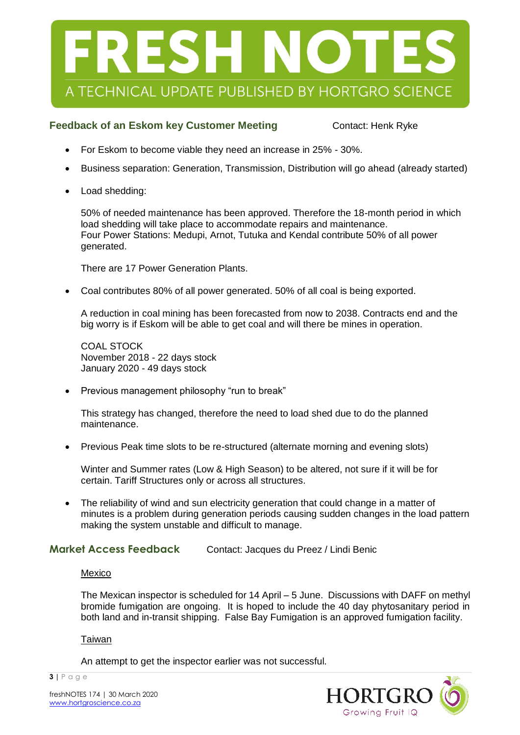

### **Feedback of an Eskom key Customer Meeting Contact: Henk Ryke**

- For Eskom to become viable they need an increase in 25% 30%.
- Business separation: Generation, Transmission, Distribution will go ahead (already started)
- Load shedding:

50% of needed maintenance has been approved. Therefore the 18-month period in which load shedding will take place to accommodate repairs and maintenance. Four Power Stations: Medupi, Arnot, Tutuka and Kendal contribute 50% of all power generated.

There are 17 Power Generation Plants.

Coal contributes 80% of all power generated. 50% of all coal is being exported.

A reduction in coal mining has been forecasted from now to 2038. Contracts end and the big worry is if Eskom will be able to get coal and will there be mines in operation.

COAL STOCK November 2018 - 22 days stock January 2020 - 49 days stock

• Previous management philosophy "run to break"

This strategy has changed, therefore the need to load shed due to do the planned maintenance.

Previous Peak time slots to be re-structured (alternate morning and evening slots)

Winter and Summer rates (Low & High Season) to be altered, not sure if it will be for certain. Tariff Structures only or across all structures.

 The reliability of wind and sun electricity generation that could change in a matter of minutes is a problem during generation periods causing sudden changes in the load pattern making the system unstable and difficult to manage.

**Market Access Feedback** Contact: Jacques du Preez / Lindi Benic

#### Mexico

The Mexican inspector is scheduled for 14 April – 5 June. Discussions with DAFF on methyl bromide fumigation are ongoing. It is hoped to include the 40 day phytosanitary period in both land and in-transit shipping. False Bay Fumigation is an approved fumigation facility.

#### Taiwan

**3 |** P a g e

An attempt to get the inspector earlier was not successful.

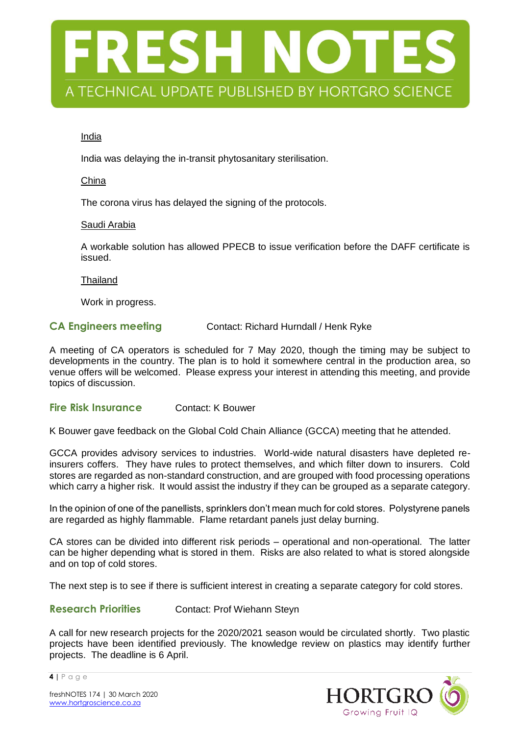

#### India

India was delaying the in-transit phytosanitary sterilisation.

#### China

The corona virus has delayed the signing of the protocols.

#### Saudi Arabia

A workable solution has allowed PPECB to issue verification before the DAFF certificate is issued.

Thailand

Work in progress.

#### **CA Engineers meeting Contact: Richard Hurndall / Henk Ryke**

A meeting of CA operators is scheduled for 7 May 2020, though the timing may be subject to developments in the country. The plan is to hold it somewhere central in the production area, so venue offers will be welcomed. Please express your interest in attending this meeting, and provide topics of discussion.

#### **Fire Risk Insurance** Contact: K Bouwer

K Bouwer gave feedback on the Global Cold Chain Alliance (GCCA) meeting that he attended.

GCCA provides advisory services to industries. World-wide natural disasters have depleted reinsurers coffers. They have rules to protect themselves, and which filter down to insurers. Cold stores are regarded as non-standard construction, and are grouped with food processing operations which carry a higher risk. It would assist the industry if they can be grouped as a separate category.

In the opinion of one of the panellists, sprinklers don't mean much for cold stores. Polystyrene panels are regarded as highly flammable. Flame retardant panels just delay burning.

CA stores can be divided into different risk periods – operational and non-operational. The latter can be higher depending what is stored in them. Risks are also related to what is stored alongside and on top of cold stores.

The next step is to see if there is sufficient interest in creating a separate category for cold stores.

**Research Priorities** Contact: Prof Wiehann Steyn

A call for new research projects for the 2020/2021 season would be circulated shortly. Two plastic projects have been identified previously. The knowledge review on plastics may identify further projects. The deadline is 6 April.



**4 |** P a g e